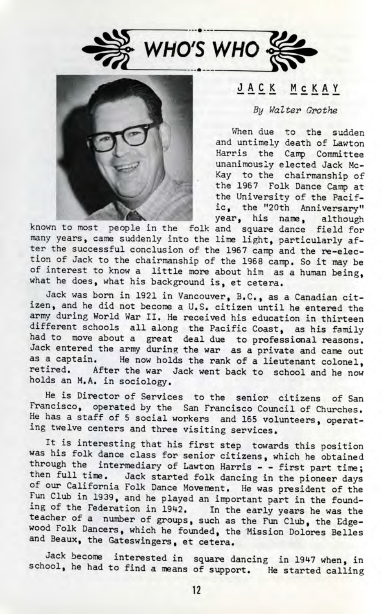



## JACK MCKAY

## By Walter Grothe

When due to the sudden and untimely death of Lawton Harris the Camp Committee unanimously elected Jack Mc-Kay to the chairmanship of the 1967 Folk Dance Camp at the University of the Pacific. the "20th Anniversary" year, his name, although

known to most people in the folk and square dance field for many years, came suddenly into the lime light, particularly after the successful conclusion of the 1967 camp and the re-election of Jack to the chairmanship of the 1968 camp. So it may be of interest to know a little more about him as a human being, what he does, what his background is, et cetera.

Jack was born in 1921 in Vancouver, B.C., as a Canadian citizen, and he did not become a U.S. citizen until he entered the army during World War II. He received his education in thirteen different schools all along the Pacific Coast, as his family ad to move about a great deal due to professional reasons. ack entered the army during the war as a private and came out as a captain. He now holds the rank of a lieutenant colonel, retired. After the war Jack went back to school and he now holds an M.A. in sociology.

He is Director of Services to the senior citizens of San Francisco, operated by the San Francisco Council of Churches. He has a staff of 5 social workers and 165 volunteers, operating twelve centers and three visiting services.

It is interesting that his first step towards this position was his folk dance class for senior citizens, which he obtained through the intermediary of Lawton Harris - - first part time; then full time. Jack started folk dancing in the pioneer days of our California Folk Dance Movement. He was president of the Fun Club in 1939, and he played an important part in the founding of the Federation in 1942. In the early years he was the teacher of a number of groups, such as the Fun Club, the Edgewood Folk Dancers, which he founded, the Mission Dolores Belles and Beaux, the Gateswingers, et cetera.

Jack become interested in square dancing in 1947 when, in school, he had to find a means of support. He started calling